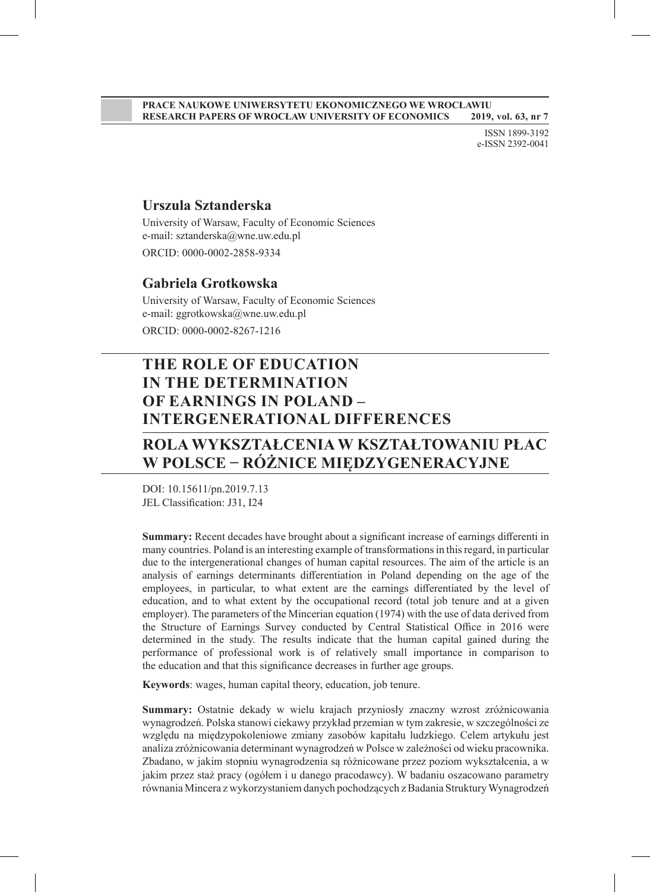#### **PRACE NAUKOWE UNIWERSYTETU EKONOMICZNEGO WE WROCŁAWIU RESEARCH PAPERS OF WROCŁAW UNIVERSITY OF ECONOMICS 2019, vol. 63, nr 7**

ISSN 1899-3192 e-ISSN 2392-0041

#### **Urszula Sztanderska**

University of Warsaw, Faculty of Economic Sciences e-mail: sztanderska@wne.uw.edu.pl ORCID: 0000-0002-2858-9334

#### **Gabriela Grotkowska**

University of Warsaw, Faculty of Economic Sciences e-mail: ggrotkowska@wne.uw.edu.pl ORCID: 0000-0002-8267-1216

# **THE ROLE OF EDUCATION IN THE DETERMINATION OF EARNINGS IN POLAND – INTERGENERATIONAL DIFFERENCES**

## **ROLA WYKSZTAŁCENIA W KSZTAŁTOWANIU PŁAC W POLSCE − RÓŻNICE MIĘDZYGENERACYJNE**

DOI: 10.15611/pn.2019.7.13 JEL Classification: J31, I24

**Summary:** Recent decades have brought about a significant increase of earnings differenti in many countries. Poland is an interesting example of transformations in this regard, in particular due to the intergenerational changes of human capital resources. The aim of the article is an analysis of earnings determinants differentiation in Poland depending on the age of the employees, in particular, to what extent are the earnings differentiated by the level of education, and to what extent by the occupational record (total job tenure and at a given employer). The parameters of the Mincerian equation (1974) with the use of data derived from the Structure of Earnings Survey conducted by Central Statistical Office in 2016 were determined in the study. The results indicate that the human capital gained during the performance of professional work is of relatively small importance in comparison to the education and that this significance decreases in further age groups.

**Keywords**: wages, human capital theory, education, job tenure.

**Summary:** Ostatnie dekady w wielu krajach przyniosły znaczny wzrost zróżnicowania wynagrodzeń. Polska stanowi ciekawy przykład przemian w tym zakresie, w szczególności ze względu na międzypokoleniowe zmiany zasobów kapitału ludzkiego. Celem artykułu jest analiza zróżnicowania determinant wynagrodzeń w Polsce w zależności od wieku pracownika. Zbadano, w jakim stopniu wynagrodzenia są różnicowane przez poziom wykształcenia, a w jakim przez staż pracy (ogółem i u danego pracodawcy). W badaniu oszacowano parametry równania Mincera z wykorzystaniem danych pochodzących z Badania Struktury Wynagrodzeń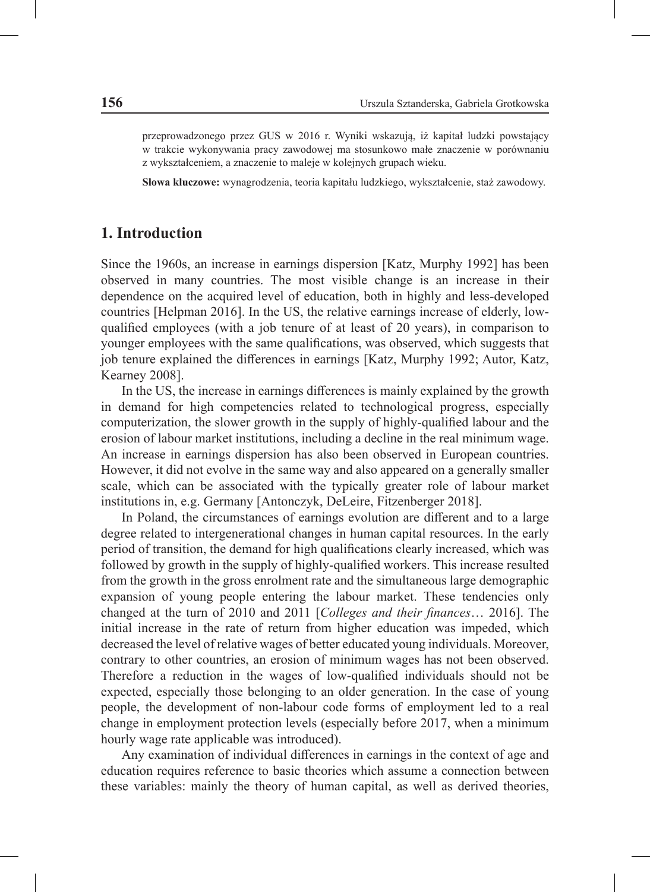przeprowadzonego przez GUS w 2016 r. Wyniki wskazują, iż kapitał ludzki powstający w trakcie wykonywania pracy zawodowej ma stosunkowo małe znaczenie w porównaniu z wykształceniem, a znaczenie to maleje w kolejnych grupach wieku.

**Słowa kluczowe:** wynagrodzenia, teoria kapitału ludzkiego, wykształcenie, staż zawodowy.

#### **1. Introduction**

Since the 1960s, an increase in earnings dispersion [Katz, Murphy 1992] has been observed in many countries. The most visible change is an increase in their dependence on the acquired level of education, both in highly and less-developed countries [Helpman 2016]. In the US, the relative earnings increase of elderly, lowqualified employees (with a job tenure of at least of 20 years), in comparison to younger employees with the same qualifications, was observed, which suggests that job tenure explained the differences in earnings [Katz, Murphy 1992; Autor, Katz, Kearney 2008].

In the US, the increase in earnings differences is mainly explained by the growth in demand for high competencies related to technological progress, especially computerization, the slower growth in the supply of highly-qualified labour and the erosion of labour market institutions, including a decline in the real minimum wage. An increase in earnings dispersion has also been observed in European countries. However, it did not evolve in the same way and also appeared on a generally smaller scale, which can be associated with the typically greater role of labour market institutions in, e.g. Germany [Antonczyk, DeLeire, Fitzenberger 2018].

In Poland, the circumstances of earnings evolution are different and to a large degree related to intergenerational changes in human capital resources. In the early period of transition, the demand for high qualifications clearly increased, which was followed by growth in the supply of highly-qualified workers. This increase resulted from the growth in the gross enrolment rate and the simultaneous large demographic expansion of young people entering the labour market. These tendencies only changed at the turn of 2010 and 2011 [*Colleges and their finances*… 2016]. The initial increase in the rate of return from higher education was impeded, which decreased the level of relative wages of better educated young individuals. Moreover, contrary to other countries, an erosion of minimum wages has not been observed. Therefore a reduction in the wages of low-qualified individuals should not be expected, especially those belonging to an older generation. In the case of young people, the development of non-labour code forms of employment led to a real change in employment protection levels (especially before 2017, when a minimum hourly wage rate applicable was introduced).

Any examination of individual differences in earnings in the context of age and education requires reference to basic theories which assume a connection between these variables: mainly the theory of human capital, as well as derived theories,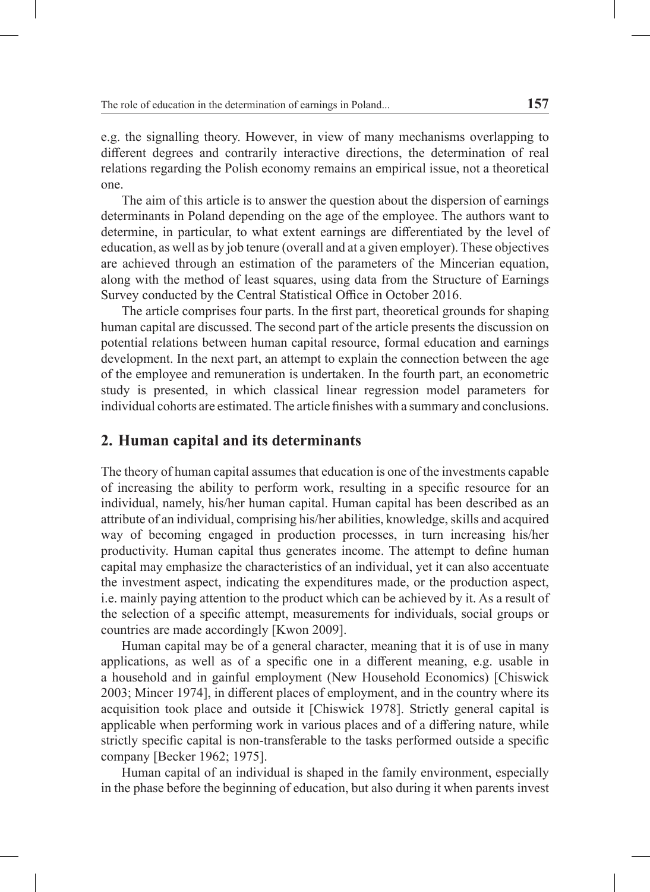e.g. the signalling theory. However, in view of many mechanisms overlapping to different degrees and contrarily interactive directions, the determination of real relations regarding the Polish economy remains an empirical issue, not a theoretical one.

The aim of this article is to answer the question about the dispersion of earnings determinants in Poland depending on the age of the employee. The authors want to determine, in particular, to what extent earnings are differentiated by the level of education, as well as by job tenure (overall and at a given employer). These objectives are achieved through an estimation of the parameters of the Mincerian equation, along with the method of least squares, using data from the Structure of Earnings Survey conducted by the Central Statistical Office in October 2016.

The article comprises four parts. In the first part, theoretical grounds for shaping human capital are discussed. The second part of the article presents the discussion on potential relations between human capital resource, formal education and earnings development. In the next part, an attempt to explain the connection between the age of the employee and remuneration is undertaken. In the fourth part, an econometric study is presented, in which classical linear regression model parameters for individual cohorts are estimated. The article finishes with a summary and conclusions.

### **2. Human capital and its determinants**

The theory of human capital assumes that education is one of the investments capable of increasing the ability to perform work, resulting in a specific resource for an individual, namely, his/her human capital. Human capital has been described as an attribute of an individual, comprising his/her abilities, knowledge, skills and acquired way of becoming engaged in production processes, in turn increasing his/her productivity. Human capital thus generates income. The attempt to define human capital may emphasize the characteristics of an individual, yet it can also accentuate the investment aspect, indicating the expenditures made, or the production aspect, i.e. mainly paying attention to the product which can be achieved by it. As a result of the selection of a specific attempt, measurements for individuals, social groups or countries are made accordingly [Kwon 2009].

Human capital may be of a general character, meaning that it is of use in many applications, as well as of a specific one in a different meaning, e.g. usable in a household and in gainful employment (New Household Economics) [Chiswick 2003; Mincer 1974], in different places of employment, and in the country where its acquisition took place and outside it [Chiswick 1978]. Strictly general capital is applicable when performing work in various places and of a differing nature, while strictly specific capital is non-transferable to the tasks performed outside a specific company [Becker 1962; 1975].

Human capital of an individual is shaped in the family environment, especially in the phase before the beginning of education, but also during it when parents invest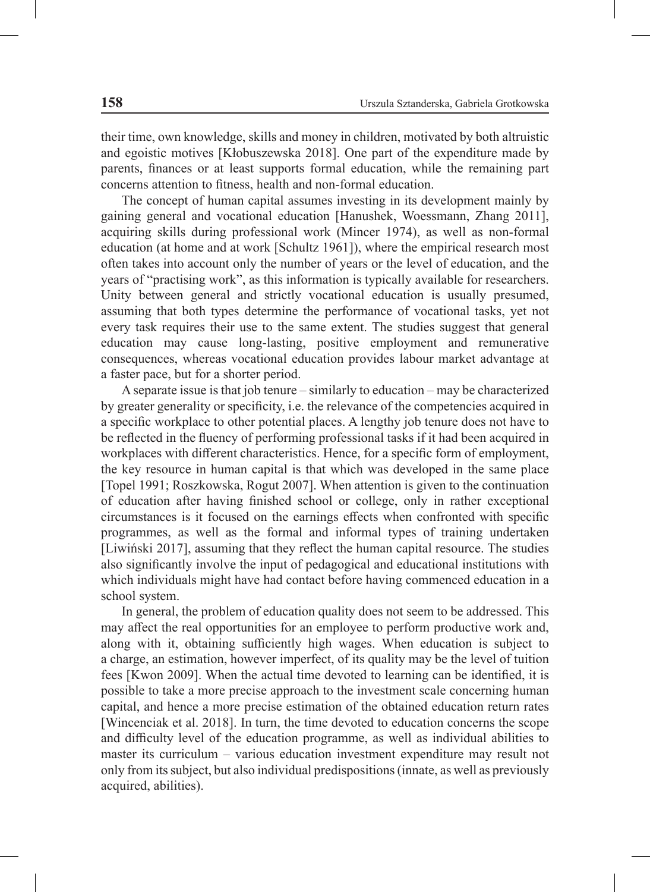their time, own knowledge, skills and money in children, motivated by both altruistic and egoistic motives [Kłobuszewska 2018]. One part of the expenditure made by parents, finances or at least supports formal education, while the remaining part concerns attention to fitness, health and non-formal education.

The concept of human capital assumes investing in its development mainly by gaining general and vocational education [Hanushek, Woessmann, Zhang 2011], acquiring skills during professional work (Mincer 1974), as well as non-formal education (at home and at work [Schultz 1961]), where the empirical research most often takes into account only the number of years or the level of education, and the years of "practising work", as this information is typically available for researchers. Unity between general and strictly vocational education is usually presumed, assuming that both types determine the performance of vocational tasks, yet not every task requires their use to the same extent. The studies suggest that general education may cause long-lasting, positive employment and remunerative consequences, whereas vocational education provides labour market advantage at a faster pace, but for a shorter period.

A separate issue is that job tenure – similarly to education – may be characterized by greater generality or specificity, i.e. the relevance of the competencies acquired in a specific workplace to other potential places. A lengthy job tenure does not have to be reflected in the fluency of performing professional tasks if it had been acquired in workplaces with different characteristics. Hence, for a specific form of employment, the key resource in human capital is that which was developed in the same place [Topel 1991; Roszkowska, Rogut 2007]. When attention is given to the continuation of education after having finished school or college, only in rather exceptional circumstances is it focused on the earnings effects when confronted with specific programmes, as well as the formal and informal types of training undertaken [Liwiński 2017], assuming that they reflect the human capital resource. The studies also significantly involve the input of pedagogical and educational institutions with which individuals might have had contact before having commenced education in a school system.

In general, the problem of education quality does not seem to be addressed. This may affect the real opportunities for an employee to perform productive work and, along with it, obtaining sufficiently high wages. When education is subject to a charge, an estimation, however imperfect, of its quality may be the level of tuition fees [Kwon 2009]. When the actual time devoted to learning can be identified, it is possible to take a more precise approach to the investment scale concerning human capital, and hence a more precise estimation of the obtained education return rates [Wincenciak et al. 2018]. In turn, the time devoted to education concerns the scope and difficulty level of the education programme, as well as individual abilities to master its curriculum – various education investment expenditure may result not only from its subject, but also individual predispositions (innate, as well as previously acquired, abilities).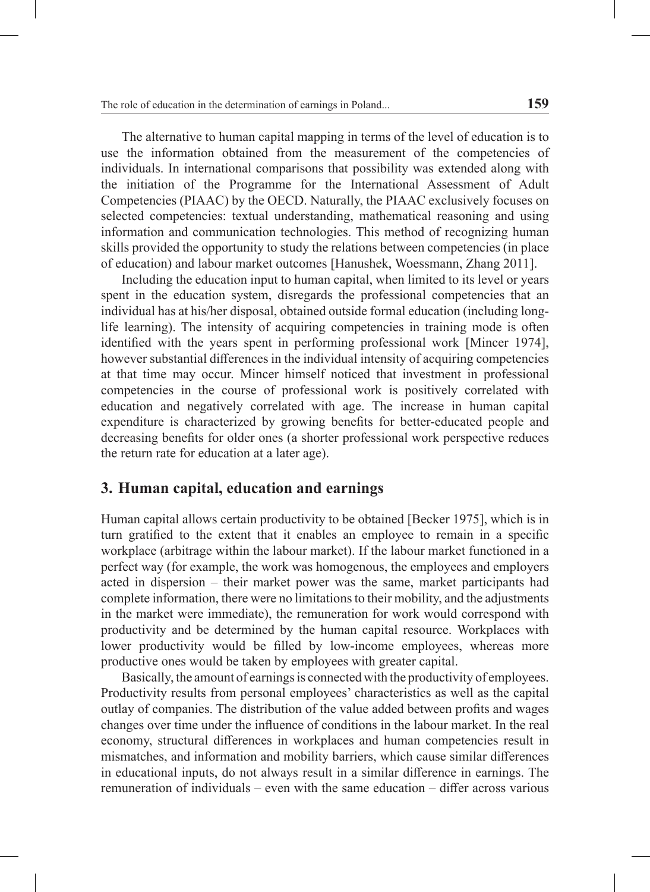The alternative to human capital mapping in terms of the level of education is to use the information obtained from the measurement of the competencies of individuals. In international comparisons that possibility was extended along with the initiation of the Programme for the International Assessment of Adult Competencies (PIAAC) by the OECD. Naturally, the PIAAC exclusively focuses on selected competencies: textual understanding, mathematical reasoning and using information and communication technologies. This method of recognizing human skills provided the opportunity to study the relations between competencies (in place of education) and labour market outcomes [Hanushek, Woessmann, Zhang 2011].

Including the education input to human capital, when limited to its level or years spent in the education system, disregards the professional competencies that an individual has at his/her disposal, obtained outside formal education (including longlife learning). The intensity of acquiring competencies in training mode is often identified with the years spent in performing professional work [Mincer 1974], however substantial differences in the individual intensity of acquiring competencies at that time may occur. Mincer himself noticed that investment in professional competencies in the course of professional work is positively correlated with education and negatively correlated with age. The increase in human capital expenditure is characterized by growing benefits for better-educated people and decreasing benefits for older ones (a shorter professional work perspective reduces the return rate for education at a later age).

### **3. Human capital, education and earnings**

Human capital allows certain productivity to be obtained [Becker 1975], which is in turn gratified to the extent that it enables an employee to remain in a specific workplace (arbitrage within the labour market). If the labour market functioned in a perfect way (for example, the work was homogenous, the employees and employers acted in dispersion – their market power was the same, market participants had complete information, there were no limitations to their mobility, and the adjustments in the market were immediate), the remuneration for work would correspond with productivity and be determined by the human capital resource. Workplaces with lower productivity would be filled by low-income employees, whereas more productive ones would be taken by employees with greater capital.

Basically, the amount of earnings is connected with the productivity of employees. Productivity results from personal employees' characteristics as well as the capital outlay of companies. The distribution of the value added between profits and wages changes over time under the influence of conditions in the labour market. In the real economy, structural differences in workplaces and human competencies result in mismatches, and information and mobility barriers, which cause similar differences in educational inputs, do not always result in a similar difference in earnings. The remuneration of individuals – even with the same education – differ across various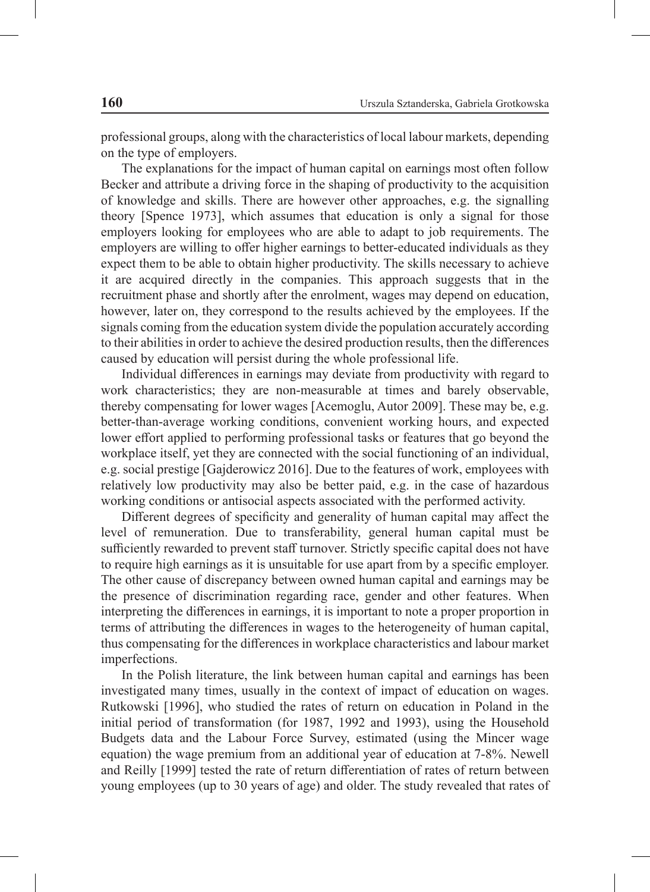professional groups, along with the characteristics of local labour markets, depending on the type of employers.

The explanations for the impact of human capital on earnings most often follow Becker and attribute a driving force in the shaping of productivity to the acquisition of knowledge and skills. There are however other approaches, e.g. the signalling theory [Spence 1973], which assumes that education is only a signal for those employers looking for employees who are able to adapt to job requirements. The employers are willing to offer higher earnings to better-educated individuals as they expect them to be able to obtain higher productivity. The skills necessary to achieve it are acquired directly in the companies. This approach suggests that in the recruitment phase and shortly after the enrolment, wages may depend on education, however, later on, they correspond to the results achieved by the employees. If the signals coming from the education system divide the population accurately according to their abilities in order to achieve the desired production results, then the differences caused by education will persist during the whole professional life.

Individual differences in earnings may deviate from productivity with regard to work characteristics; they are non-measurable at times and barely observable, thereby compensating for lower wages [Acemoglu, Autor 2009]. These may be, e.g. better-than-average working conditions, convenient working hours, and expected lower effort applied to performing professional tasks or features that go beyond the workplace itself, yet they are connected with the social functioning of an individual, e.g. social prestige [Gajderowicz 2016]. Due to the features of work, employees with relatively low productivity may also be better paid, e.g. in the case of hazardous working conditions or antisocial aspects associated with the performed activity.

Different degrees of specificity and generality of human capital may affect the level of remuneration. Due to transferability, general human capital must be sufficiently rewarded to prevent staff turnover. Strictly specific capital does not have to require high earnings as it is unsuitable for use apart from by a specific employer. The other cause of discrepancy between owned human capital and earnings may be the presence of discrimination regarding race, gender and other features. When interpreting the differences in earnings, it is important to note a proper proportion in terms of attributing the differences in wages to the heterogeneity of human capital, thus compensating for the differences in workplace characteristics and labour market imperfections.

In the Polish literature, the link between human capital and earnings has been investigated many times, usually in the context of impact of education on wages. Rutkowski [1996], who studied the rates of return on education in Poland in the initial period of transformation (for 1987, 1992 and 1993), using the Household Budgets data and the Labour Force Survey, estimated (using the Mincer wage equation) the wage premium from an additional year of education at 7-8%. Newell and Reilly [1999] tested the rate of return differentiation of rates of return between young employees (up to 30 years of age) and older. The study revealed that rates of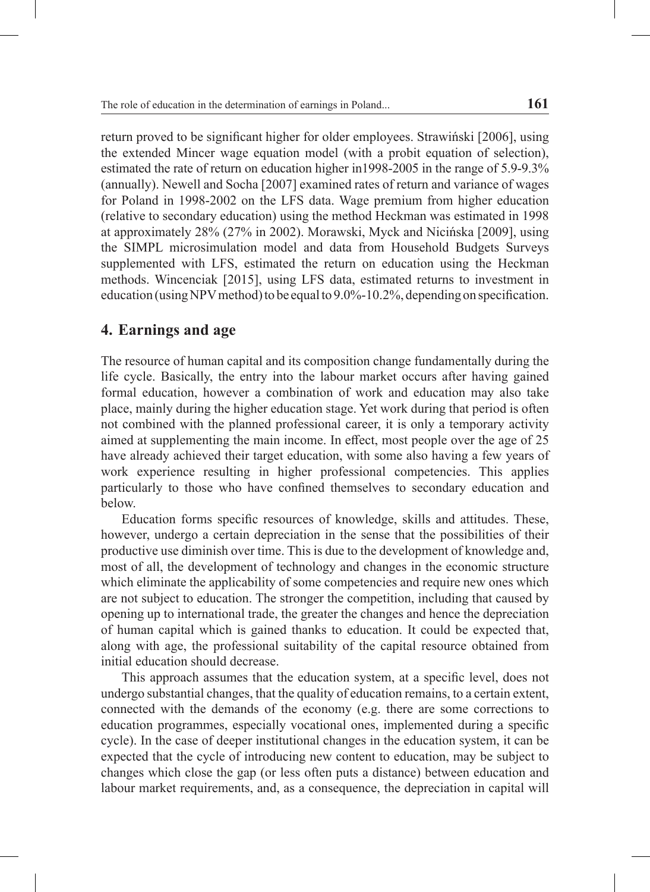return proved to be significant higher for older employees. Strawiński [2006], using the extended Mincer wage equation model (with a probit equation of selection), estimated the rate of return on education higher in1998-2005 in the range of 5.9-9.3% (annually). Newell and Socha [2007] examined rates of return and variance of wages for Poland in 1998-2002 on the LFS data. Wage premium from higher education (relative to secondary education) using the method Heckman was estimated in 1998 at approximately 28% (27% in 2002). Morawski, Myck and Nicińska [2009], using the SIMPL microsimulation model and data from Household Budgets Surveys supplemented with LFS, estimated the return on education using the Heckman methods. Wincenciak [2015], using LFS data, estimated returns to investment in education (using NPV method) to be equal to 9.0%-10.2%, depending on specification.

### **4. Earnings and age**

The resource of human capital and its composition change fundamentally during the life cycle. Basically, the entry into the labour market occurs after having gained formal education, however a combination of work and education may also take place, mainly during the higher education stage. Yet work during that period is often not combined with the planned professional career, it is only a temporary activity aimed at supplementing the main income. In effect, most people over the age of 25 have already achieved their target education, with some also having a few years of work experience resulting in higher professional competencies. This applies particularly to those who have confined themselves to secondary education and below.

Education forms specific resources of knowledge, skills and attitudes. These, however, undergo a certain depreciation in the sense that the possibilities of their productive use diminish over time. This is due to the development of knowledge and, most of all, the development of technology and changes in the economic structure which eliminate the applicability of some competencies and require new ones which are not subject to education. The stronger the competition, including that caused by opening up to international trade, the greater the changes and hence the depreciation of human capital which is gained thanks to education. It could be expected that, along with age, the professional suitability of the capital resource obtained from initial education should decrease.

This approach assumes that the education system, at a specific level, does not undergo substantial changes, that the quality of education remains, to a certain extent, connected with the demands of the economy (e.g. there are some corrections to education programmes, especially vocational ones, implemented during a specific cycle). In the case of deeper institutional changes in the education system, it can be expected that the cycle of introducing new content to education, may be subject to changes which close the gap (or less often puts a distance) between education and labour market requirements, and, as a consequence, the depreciation in capital will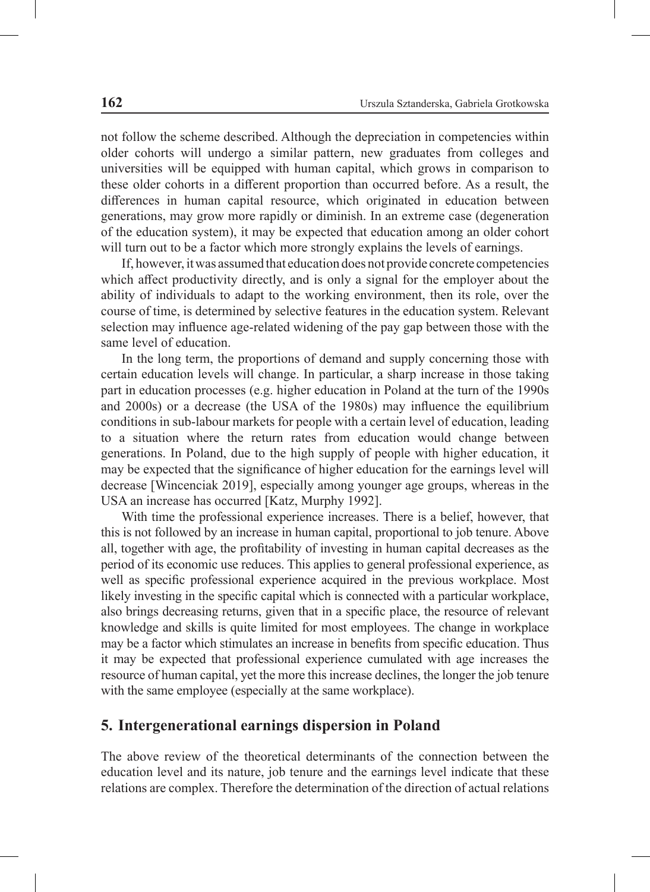not follow the scheme described. Although the depreciation in competencies within older cohorts will undergo a similar pattern, new graduates from colleges and universities will be equipped with human capital, which grows in comparison to these older cohorts in a different proportion than occurred before. As a result, the differences in human capital resource, which originated in education between generations, may grow more rapidly or diminish. In an extreme case (degeneration of the education system), it may be expected that education among an older cohort will turn out to be a factor which more strongly explains the levels of earnings.

If, however, it was assumed that education does not provide concrete competencies which affect productivity directly, and is only a signal for the employer about the ability of individuals to adapt to the working environment, then its role, over the course of time, is determined by selective features in the education system. Relevant selection may influence age-related widening of the pay gap between those with the same level of education.

In the long term, the proportions of demand and supply concerning those with certain education levels will change. In particular, a sharp increase in those taking part in education processes (e.g. higher education in Poland at the turn of the 1990s and 2000s) or a decrease (the USA of the 1980s) may influence the equilibrium conditions in sub-labour markets for people with a certain level of education, leading to a situation where the return rates from education would change between generations. In Poland, due to the high supply of people with higher education, it may be expected that the significance of higher education for the earnings level will decrease [Wincenciak 2019], especially among younger age groups, whereas in the USA an increase has occurred [Katz, Murphy 1992].

With time the professional experience increases. There is a belief, however, that this is not followed by an increase in human capital, proportional to job tenure. Above all, together with age, the profitability of investing in human capital decreases as the period of its economic use reduces. This applies to general professional experience, as well as specific professional experience acquired in the previous workplace. Most likely investing in the specific capital which is connected with a particular workplace, also brings decreasing returns, given that in a specific place, the resource of relevant knowledge and skills is quite limited for most employees. The change in workplace may be a factor which stimulates an increase in benefits from specific education. Thus it may be expected that professional experience cumulated with age increases the resource of human capital, yet the more this increase declines, the longer the job tenure with the same employee (especially at the same workplace).

#### **5. Intergenerational earnings dispersion in Poland**

The above review of the theoretical determinants of the connection between the education level and its nature, job tenure and the earnings level indicate that these relations are complex. Therefore the determination of the direction of actual relations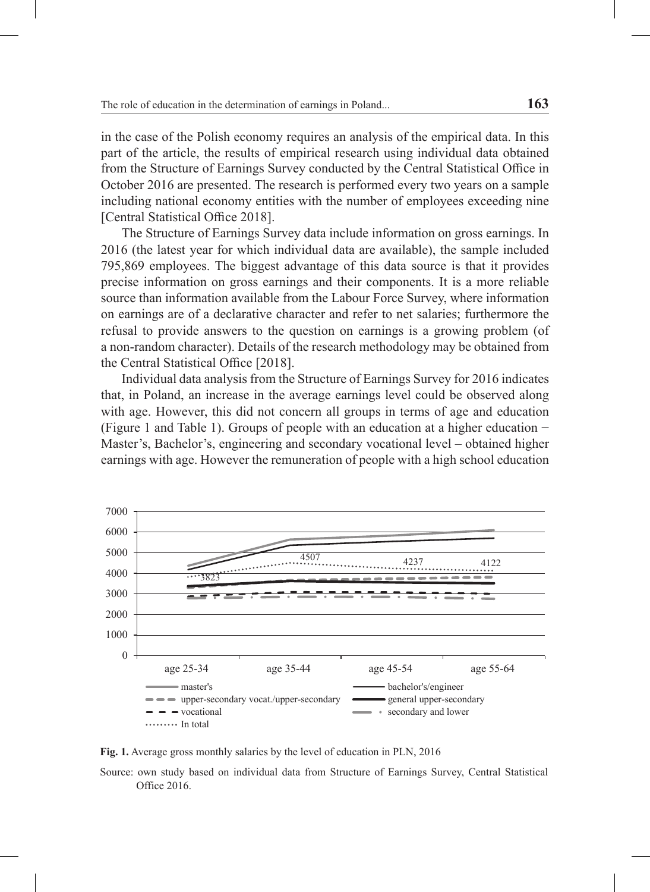in the case of the Polish economy requires an analysis of the empirical data. In this part of the article, the results of empirical research using individual data obtained from the Structure of Earnings Survey conducted by the Central Statistical Office in October 2016 are presented. The research is performed every two years on a sample including national economy entities with the number of employees exceeding nine [Central Statistical Office 2018].

The Structure of Earnings Survey data include information on gross earnings. In 2016 (the latest year for which individual data are available), the sample included 795,869 employees. The biggest advantage of this data source is that it provides precise information on gross earnings and their components. It is a more reliable source than information available from the Labour Force Survey, where information on earnings are of a declarative character and refer to net salaries; furthermore the refusal to provide answers to the question on earnings is a growing problem (of a non-random character). Details of the research methodology may be obtained from the Central Statistical Office [2018].

Individual data analysis from the Structure of Earnings Survey for 2016 indicates that, in Poland, an increase in the average earnings level could be observed along with age. However, this did not concern all groups in terms of age and education (Figure 1 and Table 1). Groups of people with an education at a higher education − Master's, Bachelor's, engineering and secondary vocational level – obtained higher earnings with age. However the remuneration of people with a high school education



**Fig. 1.** Average gross monthly salaries by the level of education in PLN, 2016

Source: own study based on individual data from Structure of Earnings Survey, Central Statistical Office 2016.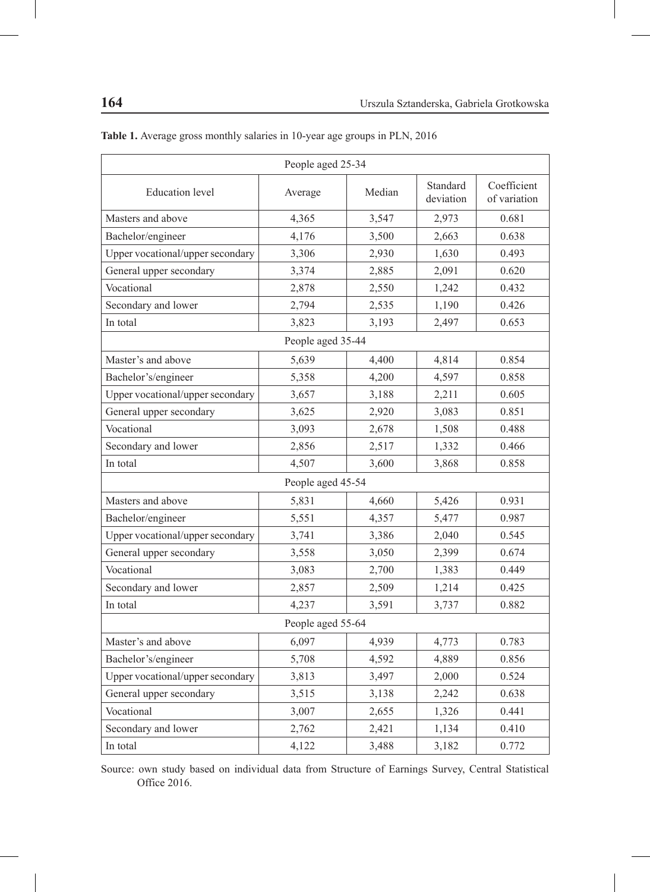| People aged 25-34                |         |        |                       |                             |  |  |  |  |  |
|----------------------------------|---------|--------|-----------------------|-----------------------------|--|--|--|--|--|
| <b>Education</b> level           | Average | Median | Standard<br>deviation | Coefficient<br>of variation |  |  |  |  |  |
| Masters and above                | 4.365   | 3,547  | 2,973                 | 0.681                       |  |  |  |  |  |
| Bachelor/engineer                | 4,176   | 3,500  | 2,663                 | 0.638                       |  |  |  |  |  |
| Upper vocational/upper secondary | 3,306   | 2,930  | 1,630                 | 0.493                       |  |  |  |  |  |
| General upper secondary          | 3,374   | 2,885  | 2,091                 | 0.620                       |  |  |  |  |  |
| Vocational                       | 2,878   | 2,550  | 1,242                 | 0.432                       |  |  |  |  |  |
| Secondary and lower              | 2,794   | 2,535  | 1,190                 | 0.426                       |  |  |  |  |  |
| In total                         | 3,823   | 3,193  | 2,497                 | 0.653                       |  |  |  |  |  |
| People aged 35-44                |         |        |                       |                             |  |  |  |  |  |
| Master's and above               | 5,639   | 4,400  | 4,814                 | 0.854                       |  |  |  |  |  |
| Bachelor's/engineer<br>5,358     |         | 4,200  | 4,597                 | 0.858                       |  |  |  |  |  |
| Upper vocational/upper secondary | 3,657   | 3,188  | 2,211                 | 0.605                       |  |  |  |  |  |
| General upper secondary          | 3,625   | 2,920  | 3,083                 | 0.851                       |  |  |  |  |  |
| Vocational                       | 3,093   | 2,678  | 1,508                 | 0.488                       |  |  |  |  |  |
| Secondary and lower              | 2,856   | 2,517  | 1,332                 | 0.466                       |  |  |  |  |  |
| In total                         | 4,507   | 3,600  | 3,868                 | 0.858                       |  |  |  |  |  |
| People aged 45-54                |         |        |                       |                             |  |  |  |  |  |
| Masters and above                | 5,831   | 4,660  | 5,426                 | 0.931                       |  |  |  |  |  |
| Bachelor/engineer                | 5,551   | 4,357  | 5,477                 | 0.987                       |  |  |  |  |  |
| Upper vocational/upper secondary | 3,741   | 3,386  | 2,040                 | 0.545                       |  |  |  |  |  |
| General upper secondary          | 3,558   | 3,050  | 2,399                 | 0.674                       |  |  |  |  |  |
| Vocational                       | 3,083   | 2,700  | 1,383                 | 0.449                       |  |  |  |  |  |
| Secondary and lower              | 2,857   | 2,509  | 1,214                 | 0.425                       |  |  |  |  |  |
| In total                         | 4,237   | 3,591  | 3,737                 | 0.882                       |  |  |  |  |  |
| People aged 55-64                |         |        |                       |                             |  |  |  |  |  |
| Master's and above               | 6,097   | 4,939  | 4,773                 | 0.783                       |  |  |  |  |  |
| Bachelor's/engineer              | 5,708   | 4,592  | 4,889                 | 0.856                       |  |  |  |  |  |
| Upper vocational/upper secondary | 3,813   | 3,497  | 2,000                 | 0.524                       |  |  |  |  |  |
| General upper secondary          | 3,515   | 3,138  | 2,242                 | 0.638                       |  |  |  |  |  |
| Vocational                       | 3,007   | 2,655  | 1,326                 | 0.441                       |  |  |  |  |  |
| Secondary and lower              | 2,762   | 2,421  | 1,134                 | 0.410                       |  |  |  |  |  |
| In total                         | 4,122   | 3,488  | 3,182                 | 0.772                       |  |  |  |  |  |

**Table 1.** Average gross monthly salaries in 10-year age groups in PLN, 2016

Source: own study based on individual data from Structure of Earnings Survey, Central Statistical Office 2016.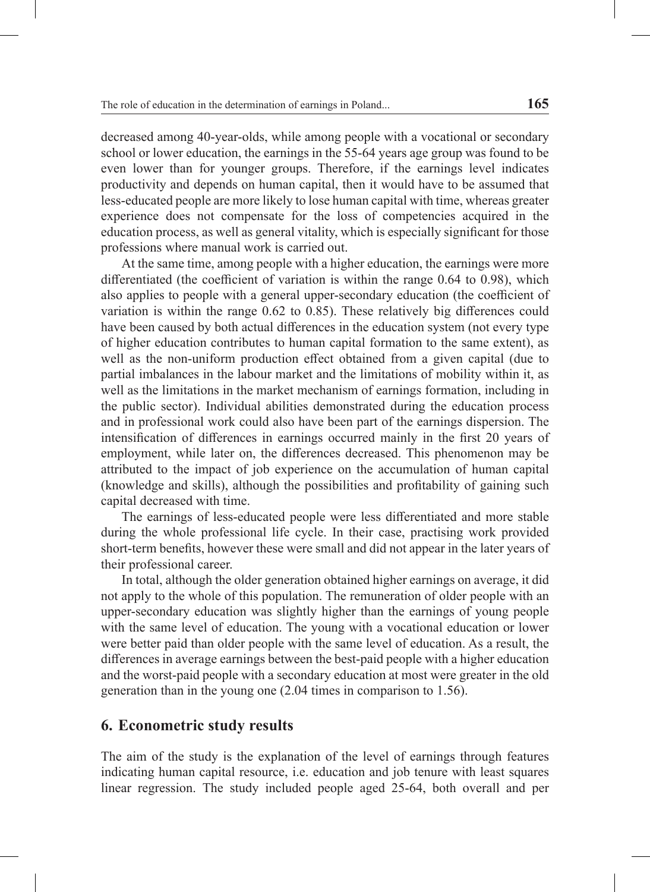decreased among 40-year-olds, while among people with a vocational or secondary school or lower education, the earnings in the 55-64 years age group was found to be even lower than for younger groups. Therefore, if the earnings level indicates productivity and depends on human capital, then it would have to be assumed that less-educated people are more likely to lose human capital with time, whereas greater experience does not compensate for the loss of competencies acquired in the education process, as well as general vitality, which is especially significant for those professions where manual work is carried out.

At the same time, among people with a higher education, the earnings were more differentiated (the coefficient of variation is within the range 0.64 to 0.98), which also applies to people with a general upper-secondary education (the coefficient of variation is within the range 0.62 to 0.85). These relatively big differences could have been caused by both actual differences in the education system (not every type of higher education contributes to human capital formation to the same extent), as well as the non-uniform production effect obtained from a given capital (due to partial imbalances in the labour market and the limitations of mobility within it, as well as the limitations in the market mechanism of earnings formation, including in the public sector). Individual abilities demonstrated during the education process and in professional work could also have been part of the earnings dispersion. The intensification of differences in earnings occurred mainly in the first 20 years of employment, while later on, the differences decreased. This phenomenon may be attributed to the impact of job experience on the accumulation of human capital (knowledge and skills), although the possibilities and profitability of gaining such capital decreased with time.

The earnings of less-educated people were less differentiated and more stable during the whole professional life cycle. In their case, practising work provided short-term benefits, however these were small and did not appear in the later years of their professional career.

In total, although the older generation obtained higher earnings on average, it did not apply to the whole of this population. The remuneration of older people with an upper-secondary education was slightly higher than the earnings of young people with the same level of education. The young with a vocational education or lower were better paid than older people with the same level of education. As a result, the differences in average earnings between the best-paid people with a higher education and the worst-paid people with a secondary education at most were greater in the old generation than in the young one (2.04 times in comparison to 1.56).

#### **6. Econometric study results**

The aim of the study is the explanation of the level of earnings through features indicating human capital resource, i.e. education and job tenure with least squares linear regression. The study included people aged 25-64, both overall and per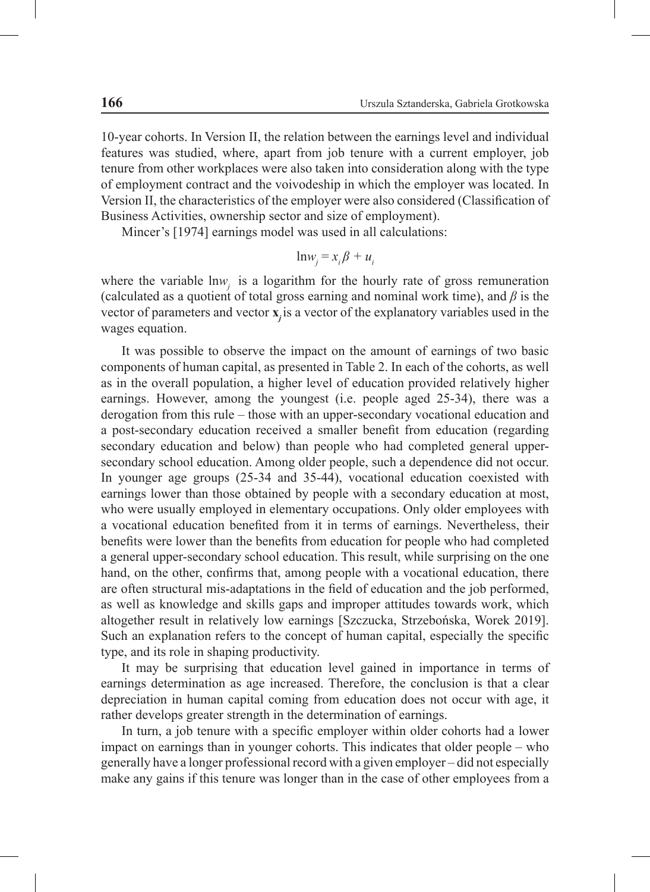10-year cohorts. In Version II, the relation between the earnings level and individual features was studied, where, apart from job tenure with a current employer, job tenure from other workplaces were also taken into consideration along with the type of employment contract and the voivodeship in which the employer was located. In Version II, the characteristics of the employer were also considered (Classification of Business Activities, ownership sector and size of employment).

Mincer's [1974] earnings model was used in all calculations:

$$
ln w_j = x_i \beta + u_i
$$

where the variable lnw<sub>j</sub> is a logarithm for the hourly rate of gross remuneration (calculated as a quotient of total gross earning and nominal work time), and *β* is the vector of parameters and vector **x**<sub>j</sub> is a vector of the explanatory variables used in the wages equation.

It was possible to observe the impact on the amount of earnings of two basic components of human capital, as presented in Table 2. In each of the cohorts, as well as in the overall population, a higher level of education provided relatively higher earnings. However, among the youngest (i.e. people aged 25-34), there was a derogation from this rule – those with an upper-secondary vocational education and a post-secondary education received a smaller benefit from education (regarding secondary education and below) than people who had completed general uppersecondary school education. Among older people, such a dependence did not occur. In younger age groups (25-34 and 35-44), vocational education coexisted with earnings lower than those obtained by people with a secondary education at most, who were usually employed in elementary occupations. Only older employees with a vocational education benefited from it in terms of earnings. Nevertheless, their benefits were lower than the benefits from education for people who had completed a general upper-secondary school education. This result, while surprising on the one hand, on the other, confirms that, among people with a vocational education, there are often structural mis-adaptations in the field of education and the job performed, as well as knowledge and skills gaps and improper attitudes towards work, which altogether result in relatively low earnings [Szczucka, Strzebońska, Worek 2019]. Such an explanation refers to the concept of human capital, especially the specific type, and its role in shaping productivity.

It may be surprising that education level gained in importance in terms of earnings determination as age increased. Therefore, the conclusion is that a clear depreciation in human capital coming from education does not occur with age, it rather develops greater strength in the determination of earnings.

In turn, a job tenure with a specific employer within older cohorts had a lower impact on earnings than in younger cohorts. This indicates that older people – who generally have a longer professional record with a given employer – did not especially make any gains if this tenure was longer than in the case of other employees from a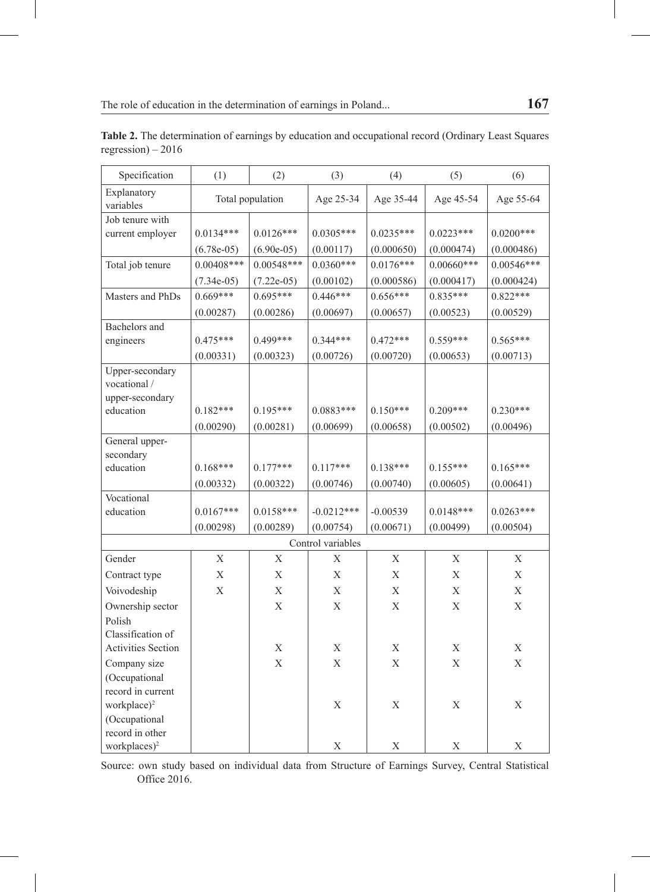| Specification                | (1)              | (2)          | (3)          | (4)         | (5)          | (6)          |  |  |  |
|------------------------------|------------------|--------------|--------------|-------------|--------------|--------------|--|--|--|
| Explanatory<br>variables     | Total population |              | Age 25-34    | Age 35-44   | Age 45-54    | Age 55-64    |  |  |  |
| Job tenure with              |                  |              |              |             |              |              |  |  |  |
| current employer             | $0.0134***$      | $0.0126***$  | $0.0305***$  | $0.0235***$ | $0.0223***$  | $0.0200***$  |  |  |  |
|                              | $(6.78e-05)$     | $(6.90e-05)$ | (0.00117)    | (0.000650)  | (0.000474)   | (0.000486)   |  |  |  |
| Total job tenure             | $0.00408***$     | $0.00548***$ | $0.0360***$  | $0.0176***$ | $0.00660***$ | $0.00546***$ |  |  |  |
|                              | $(7.34e-05)$     | $(7.22e-05)$ | (0.00102)    | (0.000586)  | (0.000417)   | (0.000424)   |  |  |  |
| Masters and PhDs             | $0.669***$       | $0.695***$   | $0.446***$   | $0.656***$  | $0.835***$   | $0.822***$   |  |  |  |
|                              | (0.00287)        | (0.00286)    | (0.00697)    | (0.00657)   | (0.00523)    | (0.00529)    |  |  |  |
| Bachelors and                |                  |              |              |             |              |              |  |  |  |
| engineers                    | $0.475***$       | $0.499***$   | $0.344***$   | $0.472***$  | $0.559***$   | $0.565***$   |  |  |  |
|                              | (0.00331)        | (0.00323)    | (0.00726)    | (0.00720)   | (0.00653)    | (0.00713)    |  |  |  |
| Upper-secondary              |                  |              |              |             |              |              |  |  |  |
| vocational /                 |                  |              |              |             |              |              |  |  |  |
| upper-secondary<br>education | $0.182***$       | $0.195***$   | $0.0883***$  | $0.150***$  | $0.209***$   | $0.230***$   |  |  |  |
|                              |                  |              |              |             |              |              |  |  |  |
| General upper-               | (0.00290)        | (0.00281)    | (0.00699)    | (0.00658)   | (0.00502)    | (0.00496)    |  |  |  |
| secondary                    |                  |              |              |             |              |              |  |  |  |
| education                    | $0.168***$       | $0.177***$   | $0.117***$   | $0.138***$  | $0.155***$   | $0.165***$   |  |  |  |
|                              | (0.00332)        | (0.00322)    | (0.00746)    | (0.00740)   | (0.00605)    | (0.00641)    |  |  |  |
| Vocational                   |                  |              |              |             |              |              |  |  |  |
| education                    | $0.0167***$      | $0.0158***$  | $-0.0212***$ | $-0.00539$  | $0.0148***$  | $0.0263***$  |  |  |  |
|                              | (0.00298)        | (0.00289)    | (0.00754)    | (0.00671)   | (0.00499)    | (0.00504)    |  |  |  |
| Control variables            |                  |              |              |             |              |              |  |  |  |
| Gender                       | Χ                | X            | $\mathbf X$  | Χ           | $\mathbf X$  | X            |  |  |  |
| Contract type                | $\bar{X}$        | $\mathbf X$  | $\mathbf{X}$ | $\mathbf X$ | $\bar{X}$    | $\bar{X}$    |  |  |  |
| Voivodeship                  | $\mathbf X$      | X            | X            | $\mathbf X$ | X            | X            |  |  |  |
| Ownership sector             |                  | X            | X            | $\mathbf X$ | X            | $\bar{X}$    |  |  |  |
| Polish                       |                  |              |              |             |              |              |  |  |  |
| Classification of            |                  |              |              |             |              |              |  |  |  |
| <b>Activities Section</b>    |                  | X            | X            | X           | X            | X            |  |  |  |
| Company size                 |                  | $\mathbf X$  | $\mathbf X$  | $\mathbf X$ | $\mathbf X$  | X            |  |  |  |
| (Occupational                |                  |              |              |             |              |              |  |  |  |
| record in current            |                  |              |              |             |              |              |  |  |  |
| workplace) <sup>2</sup>      |                  |              | Χ            | Χ           | $\mathbf X$  | Χ            |  |  |  |
| (Occupational                |                  |              |              |             |              |              |  |  |  |
| record in other              |                  |              |              |             |              |              |  |  |  |
| workplaces) <sup>2</sup>     |                  |              | X            | X           | X            | X            |  |  |  |

**Table 2.** The determination of earnings by education and occupational record (Ordinary Least Squares regression) – 2016

Source: own study based on individual data from Structure of Earnings Survey, Central Statistical Office 2016.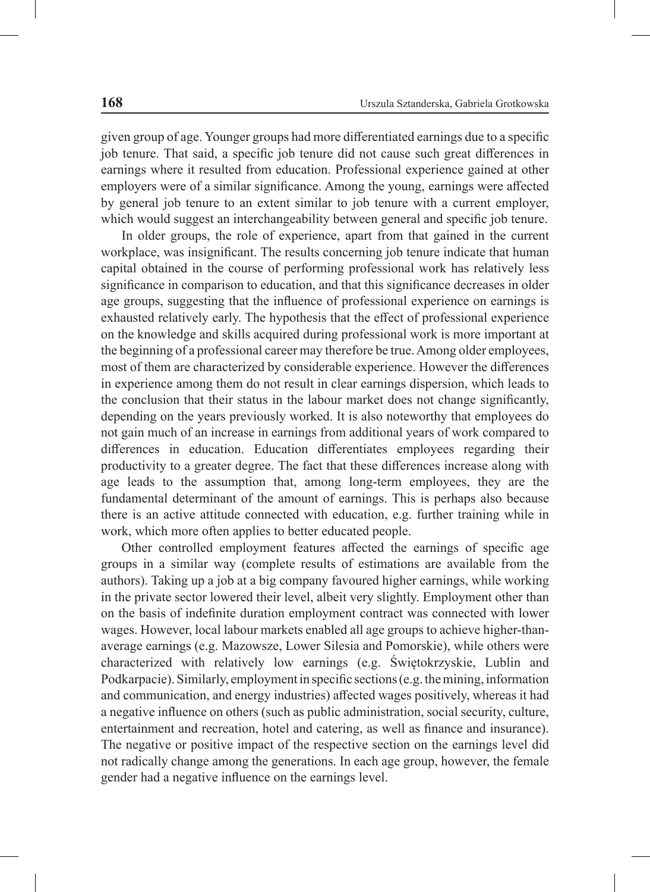given group of age. Younger groups had more differentiated earnings due to a specific job tenure. That said, a specific job tenure did not cause such great differences in earnings where it resulted from education. Professional experience gained at other employers were of a similar significance. Among the young, earnings were affected by general job tenure to an extent similar to job tenure with a current employer, which would suggest an interchangeability between general and specific job tenure.

In older groups, the role of experience, apart from that gained in the current workplace, was insignificant. The results concerning job tenure indicate that human capital obtained in the course of performing professional work has relatively less significance in comparison to education, and that this significance decreases in older age groups, suggesting that the influence of professional experience on earnings is exhausted relatively early. The hypothesis that the effect of professional experience on the knowledge and skills acquired during professional work is more important at the beginning of a professional career may therefore be true. Among older employees, most of them are characterized by considerable experience. However the differences in experience among them do not result in clear earnings dispersion, which leads to the conclusion that their status in the labour market does not change significantly, depending on the years previously worked. It is also noteworthy that employees do not gain much of an increase in earnings from additional years of work compared to differences in education. Education differentiates employees regarding their productivity to a greater degree. The fact that these differences increase along with age leads to the assumption that, among long-term employees, they are the fundamental determinant of the amount of earnings. This is perhaps also because there is an active attitude connected with education, e.g. further training while in work, which more often applies to better educated people.

Other controlled employment features affected the earnings of specific age groups in a similar way (complete results of estimations are available from the authors). Taking up a job at a big company favoured higher earnings, while working in the private sector lowered their level, albeit very slightly. Employment other than on the basis of indefinite duration employment contract was connected with lower wages. However, local labour markets enabled all age groups to achieve higher-thanaverage earnings (e.g. Mazowsze, Lower Silesia and Pomorskie), while others were characterized with relatively low earnings (e.g. Świętokrzyskie, Lublin and Podkarpacie). Similarly, employment in specific sections (e.g. the mining, information and communication, and energy industries) affected wages positively, whereas it had a negative influence on others (such as public administration, social security, culture, entertainment and recreation, hotel and catering, as well as finance and insurance). The negative or positive impact of the respective section on the earnings level did not radically change among the generations. In each age group, however, the female gender had a negative influence on the earnings level.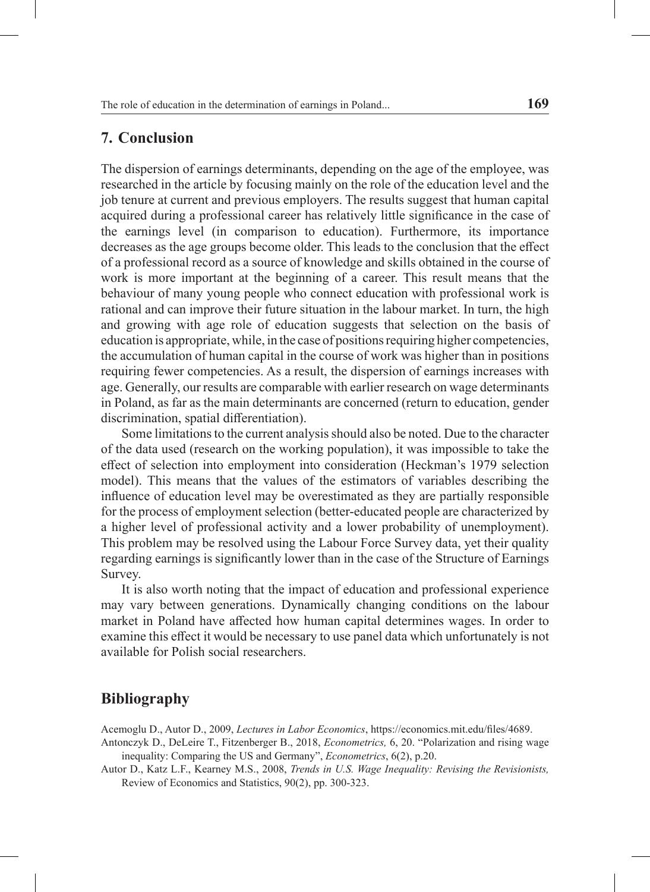### **7. Conclusion**

The dispersion of earnings determinants, depending on the age of the employee, was researched in the article by focusing mainly on the role of the education level and the job tenure at current and previous employers. The results suggest that human capital acquired during a professional career has relatively little significance in the case of the earnings level (in comparison to education). Furthermore, its importance decreases as the age groups become older. This leads to the conclusion that the effect of a professional record as a source of knowledge and skills obtained in the course of work is more important at the beginning of a career. This result means that the behaviour of many young people who connect education with professional work is rational and can improve their future situation in the labour market. In turn, the high and growing with age role of education suggests that selection on the basis of education is appropriate, while, in the case of positions requiring higher competencies, the accumulation of human capital in the course of work was higher than in positions requiring fewer competencies. As a result, the dispersion of earnings increases with age. Generally, our results are comparable with earlier research on wage determinants in Poland, as far as the main determinants are concerned (return to education, gender discrimination, spatial differentiation).

Some limitations to the current analysis should also be noted. Due to the character of the data used (research on the working population), it was impossible to take the effect of selection into employment into consideration (Heckman's 1979 selection model). This means that the values of the estimators of variables describing the influence of education level may be overestimated as they are partially responsible for the process of employment selection (better-educated people are characterized by a higher level of professional activity and a lower probability of unemployment). This problem may be resolved using the Labour Force Survey data, yet their quality regarding earnings is significantly lower than in the case of the Structure of Earnings Survey.

It is also worth noting that the impact of education and professional experience may vary between generations. Dynamically changing conditions on the labour market in Poland have affected how human capital determines wages. In order to examine this effect it would be necessary to use panel data which unfortunately is not available for Polish social researchers.

### **Bibliography**

Acemoglu D., Autor D., 2009, *Lectures in Labor Economics*, https://economics.mit.edu/files/4689.

Antonczyk D., DeLeire T., Fitzenberger B., 2018, *Econometrics,* 6, 20. "Polarization and rising wage inequality: Comparing the US and Germany", *Econometrics*, 6(2), p.20.

Autor D., Katz L.F., Kearney M.S., 2008, *Trends in U.S. Wage Inequality: Revising the Revisionists,*  Review of Economics and Statistics, 90(2), pp. 300-323.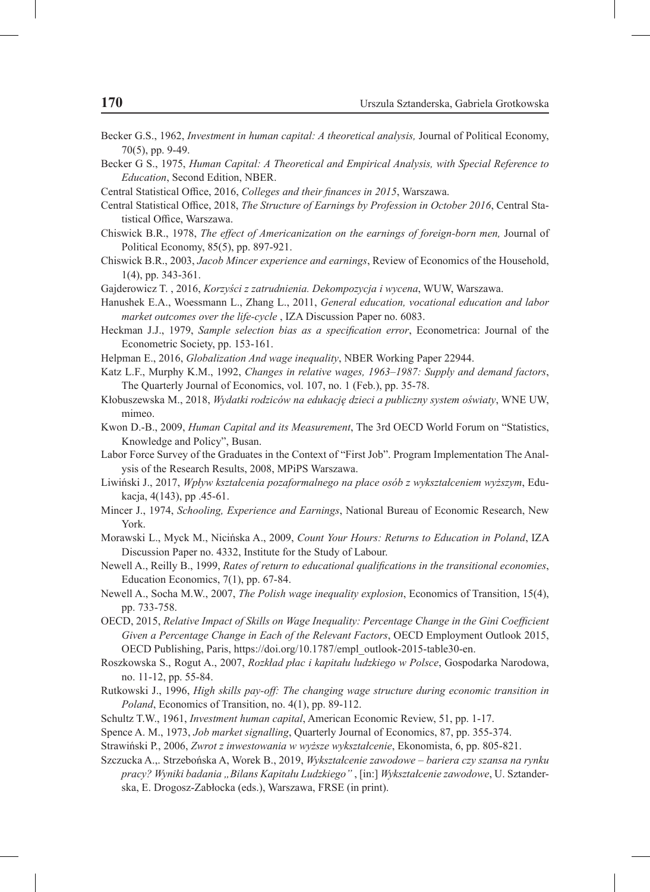- Becker G.S., 1962, *Investment in human capital: A theoretical analysis,* Journal of Political Economy, 70(5), pp. 9-49.
- Becker G S., 1975, *Human Capital: A Theoretical and Empirical Analysis, with Special Reference to Education*, Second Edition, NBER.
- Central Statistical Office, 2016, *Colleges and their finances in 2015*, Warszawa.
- Central Statistical Office, 2018, *The Structure of Earnings by Profession in October 2016*, Central Statistical Office, Warszawa.
- Chiswick B.R., 1978, *The effect of Americanization on the earnings of foreign-born men,* Journal of Political Economy, 85(5), pp. 897-921.
- Chiswick B.R., 2003, *Jacob Mincer experience and earnings*, Review of Economics of the Household, 1(4), pp. 343-361.
- Gajderowicz T. , 2016, *Korzyści z zatrudnienia. Dekompozycja i wycena*, WUW, Warszawa.
- Hanushek E.A., Woessmann L., Zhang L., 2011, *General education, vocational education and labor market outcomes over the life-cycle* , IZA Discussion Paper no. 6083.
- Heckman J.J., 1979, *Sample selection bias as a specification error*, Econometrica: Journal of the Econometric Society, pp. 153-161.
- Helpman E., 2016, *Globalization And wage inequality*, NBER Working Paper 22944.
- Katz L.F., Murphy K.M., 1992, *Changes in relative wages, 1963–1987: Supply and demand factors*, The Quarterly Journal of Economics, vol. 107, no. 1 (Feb.), pp. 35-78.
- Kłobuszewska M., 2018, *Wydatki rodziców na edukację dzieci a publiczny system oświaty*, WNE UW, mimeo.
- Kwon D.-B., 2009, *Human Capital and its Measurement*, The 3rd OECD World Forum on "Statistics, Knowledge and Policy", Busan.
- Labor Force Survey of the Graduates in the Context of "First Job". Program Implementation The Analysis of the Research Results, 2008, MPiPS Warszawa.
- Liwiński J., 2017, *Wpływ kształcenia pozaformalnego na płace osób z wykształceniem wyższym*, Edukacja, 4(143), pp .45-61.
- Mincer J., 1974, *Schooling, Experience and Earnings*, National Bureau of Economic Research, New York.
- Morawski L., Myck M., Nicińska A., 2009, *Count Your Hours: Returns to Education in Poland*, IZA Discussion Paper no. 4332, Institute for the Study of Labour.
- Newell A., Reilly B., 1999, *Rates of return to educational qualifications in the transitional economies*, Education Economics, 7(1), pp. 67-84.
- Newell A., Socha M.W., 2007, *The Polish wage inequality explosion*, Economics of Transition, 15(4), pp. 733-758.
- OECD, 2015, *Relative Impact of Skills on Wage Inequality: Percentage Change in the Gini Coefficient Given a Percentage Change in Each of the Relevant Factors*, OECD Employment Outlook 2015, OECD Publishing, Paris, https://doi.org/10.1787/empl\_outlook-2015-table30-en.
- Roszkowska S., Rogut A., 2007, *Rozkład płac i kapitału ludzkiego w Polsce*, Gospodarka Narodowa, no. 11-12, pp. 55-84.
- Rutkowski J., 1996, *High skills pay-off: The changing wage structure during economic transition in Poland*, Economics of Transition, no. 4(1), pp. 89-112.
- Schultz T.W., 1961, *Investment human capital*, American Economic Review, 51, pp. 1-17.
- Spence A. M., 1973, *Job market signalling*, Quarterly Journal of Economics, 87, pp. 355-374.
- Strawiński P., 2006, *Zwrot z inwestowania w wyższe wykształcenie*, Ekonomista, 6, pp. 805-821.
- Szczucka A.,. Strzebońska A, Worek B., 2019, *Wykształcenie zawodowe bariera czy szansa na rynku pracy? Wyniki badania "Bilans Kapitału Ludzkiego"* , [in:] *Wykształcenie zawodowe*, U. Sztanderska, E. Drogosz-Zabłocka (eds.), Warszawa, FRSE (in print).